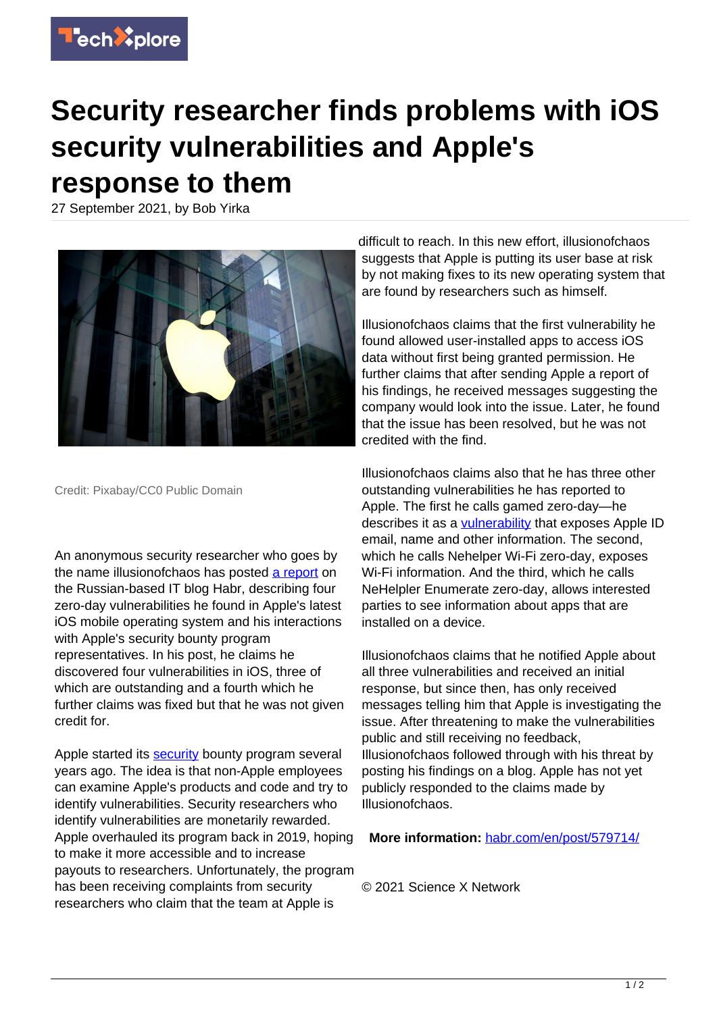

## **Security researcher finds problems with iOS security vulnerabilities and Apple's response to them**

27 September 2021, by Bob Yirka



Credit: Pixabay/CC0 Public Domain

An anonymous security researcher who goes by the name illusionofchaos has posted [a report](https://habr.com/en/post/579714/) on the Russian-based IT blog Habr, describing four zero-day vulnerabilities he found in Apple's latest iOS mobile operating system and his interactions with Apple's security bounty program representatives. In his post, he claims he discovered four vulnerabilities in iOS, three of which are outstanding and a fourth which he further claims was fixed but that he was not given credit for.

Apple started its **security** bounty program several years ago. The idea is that non-Apple employees can examine Apple's products and code and try to identify vulnerabilities. Security researchers who identify vulnerabilities are monetarily rewarded. Apple overhauled its program back in 2019, hoping to make it more accessible and to increase payouts to researchers. Unfortunately, the program has been receiving complaints from security researchers who claim that the team at Apple is

difficult to reach. In this new effort, illusionofchaos suggests that Apple is putting its user base at risk by not making fixes to its new operating system that are found by researchers such as himself.

Illusionofchaos claims that the first vulnerability he found allowed user-installed apps to access iOS data without first being granted permission. He further claims that after sending Apple a report of his findings, he received messages suggesting the company would look into the issue. Later, he found that the issue has been resolved, but he was not credited with the find.

Illusionofchaos claims also that he has three other outstanding vulnerabilities he has reported to Apple. The first he calls gamed zero-day—he describes it as a *vulnerability* that exposes Apple ID email, name and other information. The second, which he calls Nehelper Wi-Fi zero-day, exposes Wi-Fi information. And the third, which he calls NeHelpler Enumerate zero-day, allows interested parties to see information about apps that are installed on a device.

Illusionofchaos claims that he notified Apple about all three vulnerabilities and received an initial response, but since then, has only received messages telling him that Apple is investigating the issue. After threatening to make the vulnerabilities public and still receiving no feedback, Illusionofchaos followed through with his threat by posting his findings on a blog. Apple has not yet publicly responded to the claims made by Illusionofchaos.

**More information:** [habr.com/en/post/579714/](https://habr.com/en/post/579714/)

© 2021 Science X Network